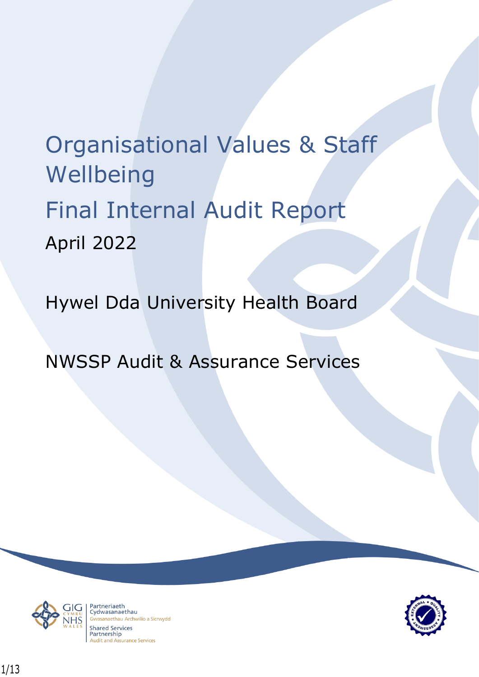# Organisational Values & Staff Wellbeing Final Internal Audit Report April 2022

Hywel Dda University Health Board

NWSSP Audit & Assurance Services



Partneriaeth rarthenaeth<br>Cydwasanaethau anaethau Archwilio a Sicrwydd **Shared Services** Partnership **Audit and Assurance Services** 

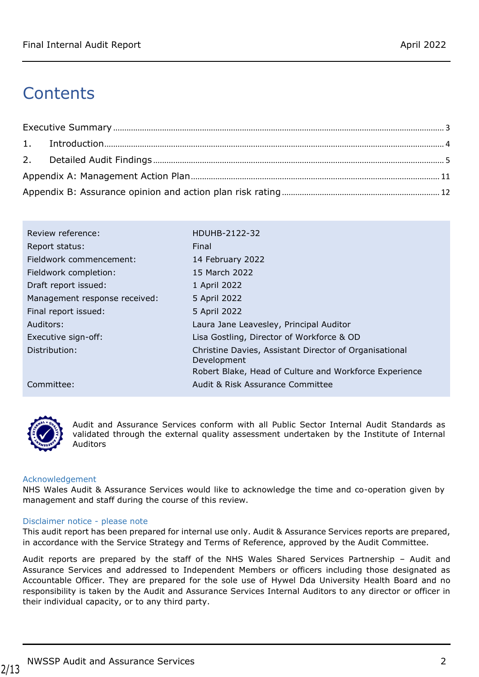# **Contents**

| Review reference:             | HDUHB-2122-32                                                         |
|-------------------------------|-----------------------------------------------------------------------|
| Report status:                | Final                                                                 |
| Fieldwork commencement:       | 14 February 2022                                                      |
| Fieldwork completion:         | 15 March 2022                                                         |
| Draft report issued:          | 1 April 2022                                                          |
| Management response received: | 5 April 2022                                                          |
| Final report issued:          | 5 April 2022                                                          |
| Auditors:                     | Laura Jane Leavesley, Principal Auditor                               |
| Executive sign-off:           | Lisa Gostling, Director of Workforce & OD                             |
| Distribution:                 | Christine Davies, Assistant Director of Organisational<br>Development |
|                               | Robert Blake, Head of Culture and Workforce Experience                |
| Committee:                    | Audit & Risk Assurance Committee                                      |



Audit and Assurance Services conform with all Public Sector Internal Audit Standards as validated through the external quality assessment undertaken by the Institute of Internal Auditors

#### Acknowledgement

NHS Wales Audit & Assurance Services would like to acknowledge the time and co-operation given by management and staff during the course of this review.

#### Disclaimer notice - please note

This audit report has been prepared for internal use only. Audit & Assurance Services reports are prepared, in accordance with the Service Strategy and Terms of Reference, approved by the Audit Committee.

Audit reports are prepared by the staff of the NHS Wales Shared Services Partnership – Audit and Assurance Services and addressed to Independent Members or officers including those designated as Accountable Officer. They are prepared for the sole use of Hywel Dda University Health Board and no responsibility is taken by the Audit and Assurance Services Internal Auditors to any director or officer in their individual capacity, or to any third party.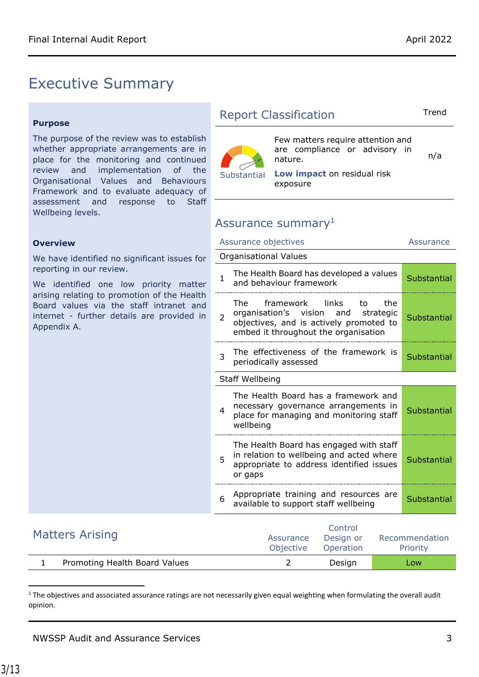# <span id="page-2-0"></span>Executive Summary

#### **Purpose**

The purpose of the review was to establish whether appropriate arrangements are in place for the monitoring and continued review and implementation of the Organisational Values and Behaviours Framework and to evaluate adequacy of assessment and response to Staff Wellbeing levels.

#### **Overview**

We have identified no significant issues for reporting in our review.

We identified one low priority matter arising relating to promotion of the Health Board values via the staff intranet and internet - further details are provided in Appendix A.

### Report Classification Trend

n/a



nature. **Low impact** on residual risk exposure

Few matters require attention and are compliance or advisory in

### Assurance summary<sup>1</sup>

|                | Assurance objectives                                                                                                                                       | Assurance   |  |  |
|----------------|------------------------------------------------------------------------------------------------------------------------------------------------------------|-------------|--|--|
|                | Organisational Values                                                                                                                                      |             |  |  |
| $\mathbf{1}$   | The Health Board has developed a values<br>and behaviour framework                                                                                         | Substantial |  |  |
| $\overline{2}$ | The framework links<br>to<br>the<br>organisation's vision and strategic<br>objectives, and is actively promoted to<br>embed it throughout the organisation | Substantial |  |  |
| 3              | The effectiveness of the framework is<br>periodically assessed                                                                                             | Substantial |  |  |
|                | Staff Wellbeing                                                                                                                                            |             |  |  |
| 4              | The Health Board has a framework and<br>necessary governance arrangements in<br>place for managing and monitoring staff<br>wellbeing                       | Substantial |  |  |
| 5              | The Health Board has engaged with staff<br>in relation to wellbeing and acted where<br>appropriate to address identified issues<br>or gaps                 | Substantial |  |  |
| 6              | Appropriate training and resources are<br>available to support staff wellbeing                                                                             | Substantial |  |  |
|                | والمستحدث والمستحدث                                                                                                                                        |             |  |  |

| <b>Matters Arising</b> |                               | Assurance<br>Objective | Control<br>Design or<br>Operation | Recommendation<br><b>Priority</b> |
|------------------------|-------------------------------|------------------------|-----------------------------------|-----------------------------------|
|                        | Promoting Health Board Values |                        | Desian                            | Low                               |

 $1$  The objectives and associated assurance ratings are not necessarily given equal weighting when formulating the overall audit opinion.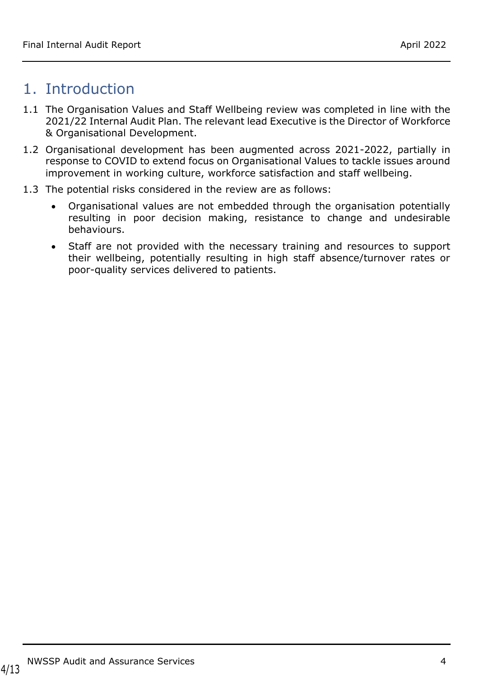# <span id="page-3-0"></span>1. Introduction

- 1.1 The Organisation Values and Staff Wellbeing review was completed in line with the 2021/22 Internal Audit Plan. The relevant lead Executive is the Director of Workforce & Organisational Development.
- 1.2 Organisational development has been augmented across 2021-2022, partially in response to COVID to extend focus on Organisational Values to tackle issues around improvement in working culture, workforce satisfaction and staff wellbeing.
- <span id="page-3-1"></span>1.3 The potential risks considered in the review are as follows:
	- Organisational values are not embedded through the organisation potentially resulting in poor decision making, resistance to change and undesirable behaviours.
	- Staff are not provided with the necessary training and resources to support their wellbeing, potentially resulting in high staff absence/turnover rates or poor-quality services delivered to patients.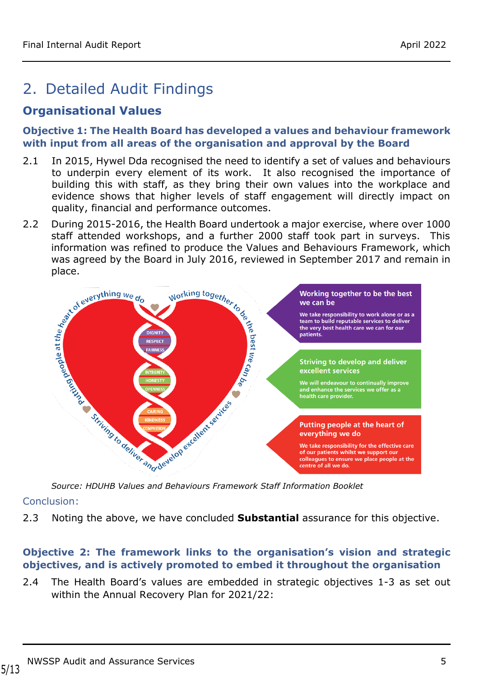# 2. Detailed Audit Findings

# **Organisational Values**

#### **Objective 1: The Health Board has developed a values and behaviour framework with input from all areas of the organisation and approval by the Board**

- 2.1 In 2015, Hywel Dda recognised the need to identify a set of values and behaviours to underpin every element of its work. It also recognised the importance of building this with staff, as they bring their own values into the workplace and evidence shows that higher levels of staff engagement will directly impact on quality, financial and performance outcomes.
- 2.2 During 2015-2016, the Health Board undertook a major exercise, where over 1000 information was refined to produce the Values and Behaviours Framework, which was agreed by the Board in July 2016, reviewed in September 2017 and remain in



*Source: HDUHB Values and Behaviours Framework Staff Information Booklet*

#### Conclusion:

2.3 Noting the above, we have concluded **Substantial** assurance for this objective.

### **Objective 2: The framework links to the organisation's vision and strategic objectives, and is actively promoted to embed it throughout the organisation**

<span id="page-4-0"></span>2.4 The Health Board's values are embedded in strategic objectives 1-3 as set out within the Annual Recovery Plan for 2021/22: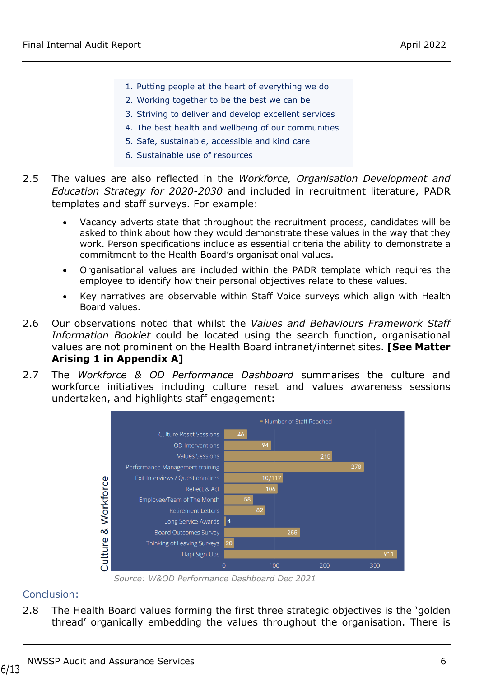- 1. Putting people at the heart of everything we do
- 2. Working together to be the best we can be
- 3. Striving to deliver and develop excellent services
- 4. The best health and wellbeing of our communities
- 5. Safe, sustainable, accessible and kind care
- 6. Sustainable use of resources
- 2.5 The values are also reflected in the *Workforce, Organisation Development and Education Strategy for 2020-2030* and included in recruitment literature, PADR templates and staff surveys. For example:
	- Vacancy adverts state that throughout the recruitment process, candidates will be asked to think about how they would demonstrate these values in the way that they work. Person specifications include as essential criteria the ability to demonstrate a commitment to the Health Board's organisational values.
	- Organisational values are included within the PADR template which requires the employee to identify how their personal objectives relate to these values.
	- Key narratives are observable within Staff Voice surveys which align with Health Board values.
- 2.6 Our observations noted that whilst the *Values and Behaviours Framework Staff Information Booklet* could be located using the search function, organisational values are not prominent on the Health Board intranet/internet sites. **[See Matter Arising 1 in Appendix A]**
- 2.7 The *Workforce & OD Performance Dashboard* summarises the culture and workforce initiatives including culture reset and values awareness sessions undertaken, and highlights staff engagement:



*Source: W&OD Performance Dashboard Dec 2021*

### Conclusion:

2.8 The Health Board values forming the first three strategic objectives is the 'golden thread' organically embedding the values throughout the organisation. There is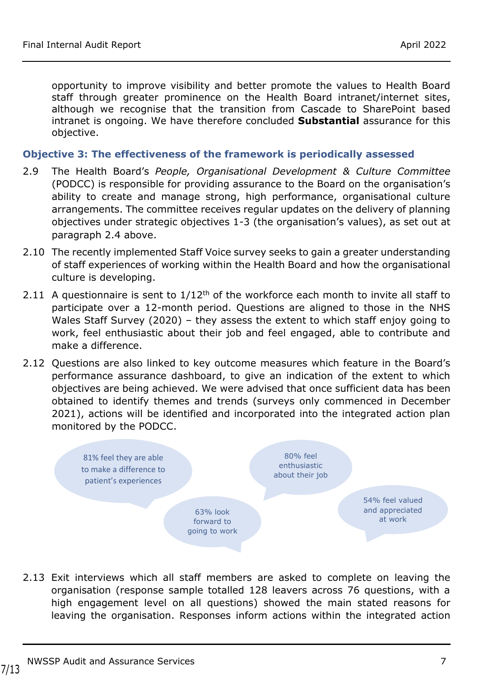opportunity to improve visibility and better promote the values to Health Board staff through greater prominence on the Health Board intranet/internet sites, although we recognise that the transition from Cascade to SharePoint based intranet is ongoing. We have therefore concluded **Substantial** assurance for this objective.

#### **Objective 3: The effectiveness of the framework is periodically assessed**

- 2.9 The Health Board's *People, Organisational Development & Culture Committee* (PODCC) is responsible for providing assurance to the Board on the organisation's ability to create and manage strong, high performance, organisational culture arrangements. The committee receives regular updates on the delivery of planning objectives under strategic objectives 1-3 (the organisation's values), as set out at paragraph [2.4](#page-4-0) above.
- <span id="page-6-0"></span>2.10 The recently implemented Staff Voice survey seeks to gain a greater understanding of staff experiences of working within the Health Board and how the organisational culture is developing.
- 2.11 A questionnaire is sent to  $1/12$ <sup>th</sup> of the workforce each month to invite all staff to participate over a 12-month period. Questions are aligned to those in the NHS Wales Staff Survey (2020) – they assess the extent to which staff enjoy going to work, feel enthusiastic about their job and feel engaged, able to contribute and make a difference.
- 2.12 Questions are also linked to key outcome measures which feature in the Board's performance assurance dashboard, to give an indication of the extent to which objectives are being achieved. We were advised that once sufficient data has been obtained to identify themes and trends (surveys only commenced in December 2021), actions will be identified and incorporated into the integrated action plan monitored by the PODCC.



2.13 Exit interviews which all staff members are asked to complete on leaving the organisation (response sample totalled 128 leavers across 76 questions, with a high engagement level on all questions) showed the main stated reasons for leaving the organisation. Responses inform actions within the integrated action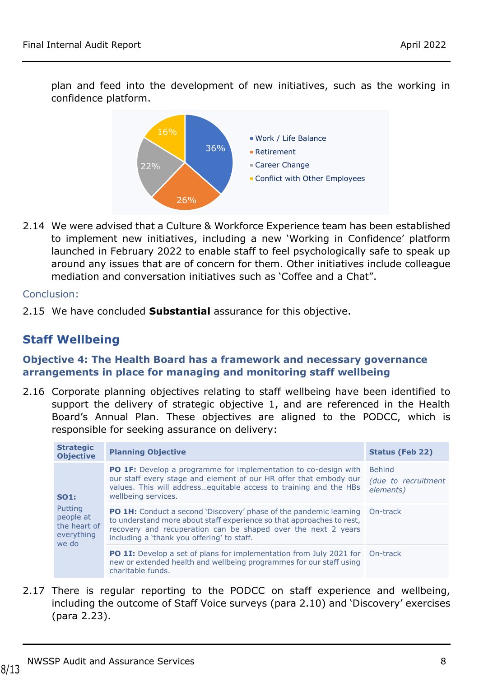plan and feed into the development of new initiatives, such as the working in confidence platform.



2.14 We were advised that a Culture & Workforce Experience team has been established to implement new initiatives, including a new 'Working in Confidence' platform launched in February 2022 to enable staff to feel psychologically safe to speak up around any issues that are of concern for them. Other initiatives include colleague mediation and conversation initiatives such as 'Coffee and a Chat".

#### Conclusion:

2.15 We have concluded **Substantial** assurance for this objective.

## **Staff Wellbeing**

#### **Objective 4: The Health Board has a framework and necessary governance arrangements in place for managing and monitoring staff wellbeing**

2.16 Corporate planning objectives relating to staff wellbeing have been identified to support the delivery of strategic objective 1, and are referenced in the Health Board's Annual Plan. These objectives are aligned to the PODCC, which is responsible for seeking assurance on delivery:

| <b>Strategic</b><br><b>Objective</b>                        | <b>Planning Objective</b>                                                                                                                                                                                                                                                  | <b>Status (Feb 22)</b>                            |
|-------------------------------------------------------------|----------------------------------------------------------------------------------------------------------------------------------------------------------------------------------------------------------------------------------------------------------------------------|---------------------------------------------------|
| <b>SO1:</b>                                                 | <b>PO 1F:</b> Develop a programme for implementation to co-design with<br>our staff every stage and element of our HR offer that embody our<br>values. This will address equitable access to training and the HBs<br>wellbeing services.                                   | <b>Behind</b><br>(due to recruitment<br>elements) |
| Putting<br>people at<br>the heart of<br>everything<br>we do | <b>PO 1H:</b> Conduct a second 'Discovery' phase of the pandemic learning On-track<br>to understand more about staff experience so that approaches to rest,<br>recovery and recuperation can be shaped over the next 2 years<br>including a 'thank you offering' to staff. |                                                   |
|                                                             | <b>PO 1I:</b> Develop a set of plans for implementation from July 2021 for On-track<br>new or extended health and wellbeing programmes for our staff using<br>charitable funds.                                                                                            |                                                   |

2.17 There is regular reporting to the PODCC on staff experience and wellbeing, including the outcome of Staff Voice surveys (para [2.10\)](#page-6-0) and 'Discovery' exercises (para [2.23\)](#page-8-0).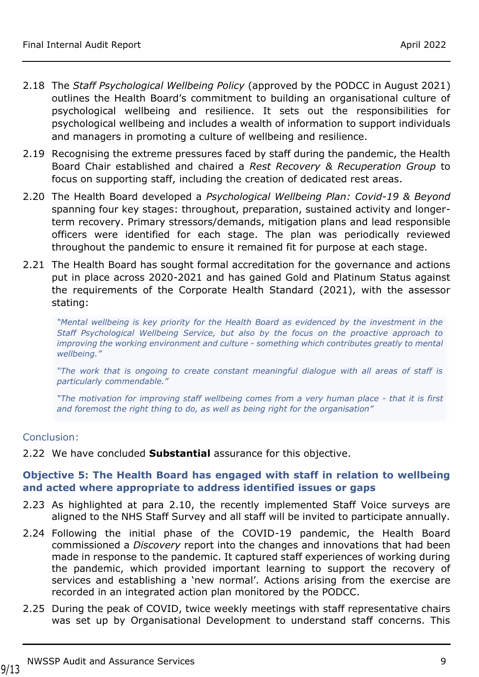- 2.18 The *Staff Psychological Wellbeing Policy* (approved by the PODCC in August 2021) outlines the Health Board's commitment to building an organisational culture of psychological wellbeing and resilience. It sets out the responsibilities for psychological wellbeing and includes a wealth of information to support individuals and managers in promoting a culture of wellbeing and resilience.
- 2.19 Recognising the extreme pressures faced by staff during the pandemic, the Health Board Chair established and chaired a *Rest Recovery & Recuperation Group* to focus on supporting staff, including the creation of dedicated rest areas.
- 2.20 The Health Board developed a *Psychological Wellbeing Plan: Covid-19 & Beyond* spanning four key stages: throughout, preparation, sustained activity and longerterm recovery. Primary stressors/demands, mitigation plans and lead responsible officers were identified for each stage. The plan was periodically reviewed throughout the pandemic to ensure it remained fit for purpose at each stage.
- 2.21 The Health Board has sought formal accreditation for the governance and actions put in place across 2020-2021 and has gained Gold and Platinum Status against the requirements of the Corporate Health Standard (2021), with the assessor stating:

*"Mental wellbeing is key priority for the Health Board as evidenced by the investment in the Staff Psychological Wellbeing Service, but also by the focus on the proactive approach to improving the working environment and culture - something which contributes greatly to mental wellbeing."*

*"The work that is ongoing to create constant meaningful dialogue with all areas of staff is particularly commendable."*

*"The motivation for improving staff wellbeing comes from a very human place - that it is first and foremost the right thing to do, as well as being right for the organisation"*

#### Conclusion:

2.22 We have concluded **Substantial** assurance for this objective.

#### **Objective 5: The Health Board has engaged with staff in relation to wellbeing and acted where appropriate to address identified issues or gaps**

- <span id="page-8-0"></span>2.23 As highlighted at para [2.10,](#page-6-0) the recently implemented Staff Voice surveys are aligned to the NHS Staff Survey and all staff will be invited to participate annually.
- 2.24 Following the initial phase of the COVID-19 pandemic, the Health Board commissioned a *Discovery* report into the changes and innovations that had been made in response to the pandemic. It captured staff experiences of working during the pandemic, which provided important learning to support the recovery of services and establishing a 'new normal'. Actions arising from the exercise are recorded in an integrated action plan monitored by the PODCC.
- 2.25 During the peak of COVID, twice weekly meetings with staff representative chairs was set up by Organisational Development to understand staff concerns. This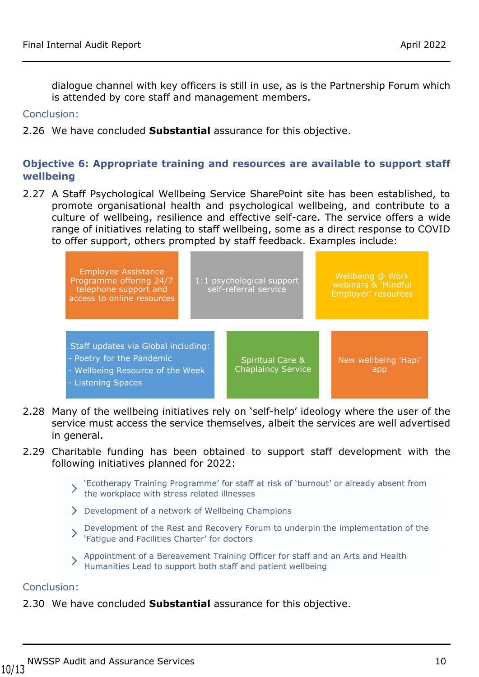dialogue channel with key officers is still in use, as is the Partnership Forum which is attended by core staff and management members.

#### Conclusion:

2.26 We have concluded **Substantial** assurance for this objective.

#### **Objective 6: Appropriate training and resources are available to support staff wellbeing**

2.27 A Staff Psychological Wellbeing Service SharePoint site has been established, to promote organisational health and psychological wellbeing, and contribute to a culture of wellbeing, resilience and effective self-care. The service offers a wide range of initiatives relating to staff wellbeing, some as a direct response to COVID to offer support, others prompted by staff feedback. Examples include:



- 2.28 Many of the wellbeing initiatives rely on 'self-help' ideology where the user of the service must access the service themselves, albeit the services are well advertised in general.
- 2.29 Charitable funding has been obtained to support staff development with the following initiatives planned for 2022:
	- 'Ecotherapy Training Programme' for staff at risk of 'burnout' or already absent from the workplace with stress related illnesses
	- Development of a network of Wellbeing Champions
	- Development of the Rest and Recovery Forum to underpin the implementation of the 'Fatigue and Facilities Charter' for doctors
	- Appointment of a Bereavement Training Officer for staff and an Arts and Health Humanities Lead to support both staff and patient wellbeing

#### Conclusion:

2.30 We have concluded **Substantial** assurance for this objective.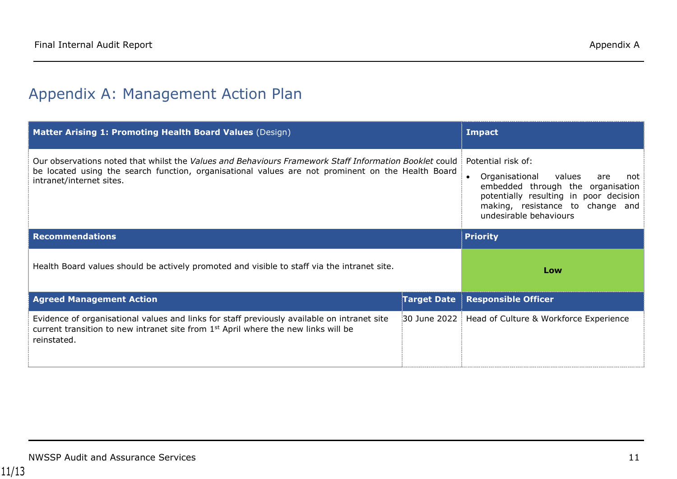# Appendix A: Management Action Plan

<span id="page-10-0"></span>

| Matter Arising 1: Promoting Health Board Values (Design)                                                                                                                                                                                | <b>Impact</b>                                                                                                                                                                                             |                                                       |
|-----------------------------------------------------------------------------------------------------------------------------------------------------------------------------------------------------------------------------------------|-----------------------------------------------------------------------------------------------------------------------------------------------------------------------------------------------------------|-------------------------------------------------------|
| Our observations noted that whilst the Values and Behaviours Framework Staff Information Booklet could<br>be located using the search function, organisational values are not prominent on the Health Board<br>intranet/internet sites. | Potential risk of:<br>values<br>Organisational<br>are<br>not<br>embedded through the organisation<br>potentially resulting in poor decision<br>making, resistance to change and<br>undesirable behaviours |                                                       |
| <b>Recommendations</b>                                                                                                                                                                                                                  |                                                                                                                                                                                                           | <b>Priority</b>                                       |
| Health Board values should be actively promoted and visible to staff via the intranet site.                                                                                                                                             | Low                                                                                                                                                                                                       |                                                       |
| <b>Agreed Management Action</b>                                                                                                                                                                                                         | <b>Target Date</b>                                                                                                                                                                                        | <b>Responsible Officer</b>                            |
| Evidence of organisational values and links for staff previously available on intranet site<br>current transition to new intranet site from 1 <sup>st</sup> April where the new links will be<br>reinstated.                            |                                                                                                                                                                                                           | 30 June 2022   Head of Culture & Workforce Experience |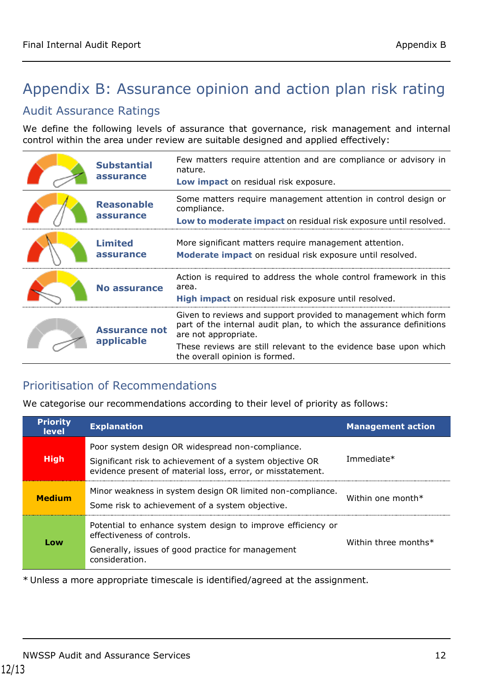# <span id="page-11-0"></span>Appendix B: Assurance opinion and action plan risk rating

### Audit Assurance Ratings

We define the following levels of assurance that governance, risk management and internal control within the area under review are suitable designed and applied effectively:

| <b>Substantial</b><br>assurance    | Few matters require attention and are compliance or advisory in<br>nature.<br>Low impact on residual risk exposure.                                                                                                                                                 |
|------------------------------------|---------------------------------------------------------------------------------------------------------------------------------------------------------------------------------------------------------------------------------------------------------------------|
| <b>Reasonable</b><br>assurance     | Some matters require management attention in control design or<br>compliance.<br>Low to moderate impact on residual risk exposure until resolved.                                                                                                                   |
| <b>Limited</b><br>assurance        | More significant matters require management attention.<br>Moderate impact on residual risk exposure until resolved.                                                                                                                                                 |
| No assurance                       | Action is required to address the whole control framework in this<br>area.<br>High impact on residual risk exposure until resolved.                                                                                                                                 |
| <b>Assurance not</b><br>applicable | Given to reviews and support provided to management which form<br>part of the internal audit plan, to which the assurance definitions<br>are not appropriate.<br>These reviews are still relevant to the evidence base upon which<br>the overall opinion is formed. |

### Prioritisation of Recommendations

We categorise our recommendations according to their level of priority as follows:

| <b>Priority</b><br><b>level</b> | <b>Explanation</b>                                                                                                                                                         | <b>Management action</b> |
|---------------------------------|----------------------------------------------------------------------------------------------------------------------------------------------------------------------------|--------------------------|
| <b>High</b>                     | Poor system design OR widespread non-compliance.<br>Significant risk to achievement of a system objective OR<br>evidence present of material loss, error, or misstatement. | Immediate*               |
| <b>Medium</b>                   | Minor weakness in system design OR limited non-compliance.<br>Some risk to achievement of a system objective.                                                              | Within one month $*$     |
| Low                             | Potential to enhance system design to improve efficiency or<br>effectiveness of controls.<br>Generally, issues of good practice for management<br>consideration.           | Within three months*     |

\* Unless a more appropriate timescale is identified/agreed at the assignment.